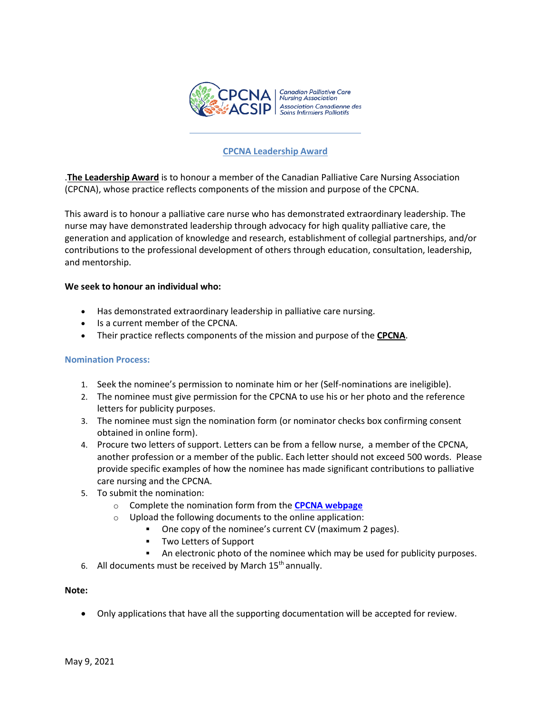

# **CPCNA Leadership Award**

.**The Leadership Award** is to honour a member of the Canadian Palliative Care Nursing Association (CPCNA), whose practice reflects components of the mission and purpose of the CPCNA.

This award is to honour a palliative care nurse who has demonstrated extraordinary leadership. The nurse may have demonstrated leadership through advocacy for high quality palliative care, the generation and application of knowledge and research, establishment of collegial partnerships, and/or contributions to the professional development of others through education, consultation, leadership, and mentorship.

## **We seek to honour an individual who:**

- Has demonstrated extraordinary leadership in palliative care nursing.
- Is a current member of the CPCNA.
- Their practice reflects components of the mission and purpose of the **CPCNA**.

#### **Nomination Process:**

- 1. Seek the nominee's permission to nominate him or her (Self-nominations are ineligible).
- 2. The nominee must give permission for the CPCNA to use his or her photo and the reference letters for publicity purposes.
- 3. The nominee must sign the nomination form (or nominator checks box confirming consent obtained in online form).
- 4. Procure two letters of support. Letters can be from a fellow nurse, a member of the CPCNA, another profession or a member of the public. Each letter should not exceed 500 words. Please provide specific examples of how the nominee has made significant contributions to palliative care nursing and the CPCNA.
- 5. To submit the nomination:
	- o Complete the nomination form from the **[CPCNA webpage](http://www.cpcna.ca/)**
	- $\circ$  Upload the following documents to the online application:
		- One copy of the nominee's current CV (maximum 2 pages).
			- Two Letters of Support
			- An electronic photo of the nominee which may be used for publicity purposes.
- 6. All documents must be received by March  $15<sup>th</sup>$  annually.

#### **Note:**

• Only applications that have all the supporting documentation will be accepted for review.